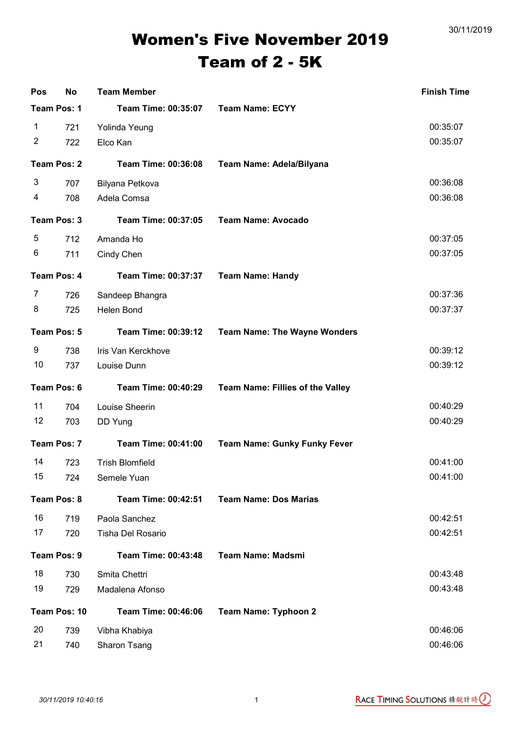30/11/2019

## Women's Five November 2019 Team of 2 - 5K

| Pos            | <b>No</b> | <b>Team Member</b>         |                                     | <b>Finish Time</b> |
|----------------|-----------|----------------------------|-------------------------------------|--------------------|
| Team Pos: 1    |           | Team Time: 00:35:07        | <b>Team Name: ECYY</b>              |                    |
| 1              | 721       | Yolinda Yeung              |                                     | 00:35:07           |
| $\overline{2}$ | 722       | Elco Kan                   |                                     | 00:35:07           |
| Team Pos: 2    |           | Team Time: 00:36:08        | Team Name: Adela/Bilyana            |                    |
| 3              | 707       | Bilyana Petkova            |                                     | 00:36:08           |
| 4              | 708       | Adela Comsa                |                                     | 00:36:08           |
| Team Pos: 3    |           | Team Time: 00:37:05        | <b>Team Name: Avocado</b>           |                    |
| 5              | 712       | Amanda Ho                  |                                     | 00:37:05           |
| 6              | 711       | Cindy Chen                 |                                     | 00:37:05           |
| Team Pos: 4    |           | Team Time: 00:37:37        | <b>Team Name: Handy</b>             |                    |
| 7              | 726       | Sandeep Bhangra            |                                     | 00:37:36           |
| 8              | 725       | <b>Helen Bond</b>          |                                     | 00:37:37           |
| Team Pos: 5    |           | Team Time: 00:39:12        | <b>Team Name: The Wayne Wonders</b> |                    |
| 9              | 738       | Iris Van Kerckhove         |                                     | 00:39:12           |
| 10             | 737       | Louise Dunn                |                                     | 00:39:12           |
| Team Pos: 6    |           | Team Time: 00:40:29        | Team Name: Fillies of the Valley    |                    |
| 11             | 704       | Louise Sheerin             |                                     | 00:40:29           |
| 12             | 703       | DD Yung                    |                                     | 00:40:29           |
| Team Pos: 7    |           | Team Time: 00:41:00        | <b>Team Name: Gunky Funky Fever</b> |                    |
| 14             | 723       | <b>Trish Blomfield</b>     |                                     | 00:41:00           |
| 15             | 724       | Semele Yuan                |                                     | 00:41:00           |
| Team Pos: 8    |           | <b>Team Time: 00:42:51</b> | <b>Team Name: Dos Marias</b>        |                    |
| 16             | 719       | Paola Sanchez              |                                     | 00:42:51           |
| 17             | 720       | Tisha Del Rosario          |                                     | 00:42:51           |
| Team Pos: 9    |           | Team Time: 00:43:48        | <b>Team Name: Madsmi</b>            |                    |
| 18             | 730       | Smita Chettri              |                                     | 00:43:48           |
| 19             | 729       | Madalena Afonso            |                                     | 00:43:48           |
| Team Pos: 10   |           | Team Time: 00:46:06        | <b>Team Name: Typhoon 2</b>         |                    |
| 20             | 739       | Vibha Khabiya              |                                     | 00:46:06           |
| 21             | 740       | Sharon Tsang               |                                     | 00:46:06           |

RACE TIMING SOLUTIONS 精銳計時()